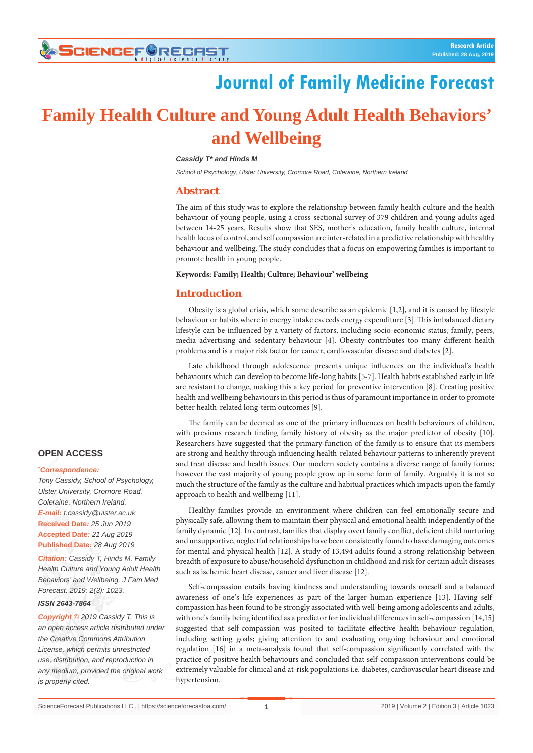# **SCIENCEF@RECAST**

# **Journal of Family Medicine Forecast**

# **Family Health Culture and Young Adult Health Behaviors' and Wellbeing**

#### *Cassidy T\* and Hinds M*

*School of Psychology, Ulster University, Cromore Road, Coleraine, Northern Ireland*

## **Abstract**

The aim of this study was to explore the relationship between family health culture and the health behaviour of young people, using a cross-sectional survey of 379 children and young adults aged between 14-25 years. Results show that SES, mother's education, family health culture, internal health locus of control, and self compassion are inter-related in a predictive relationship with healthy behaviour and wellbeing. The study concludes that a focus on empowering families is important to promote health in young people.

### **Keywords: Family; Health; Culture; Behaviour' wellbeing**

## **Introduction**

Obesity is a global crisis, which some describe as an epidemic [1,2], and it is caused by lifestyle behaviour or habits where in energy intake exceeds energy expenditure [3]. This imbalanced dietary lifestyle can be influenced by a variety of factors, including socio-economic status, family, peers, media advertising and sedentary behaviour [4]. Obesity contributes too many different health problems and is a major risk factor for cancer, cardiovascular disease and diabetes [2].

Late childhood through adolescence presents unique influences on the individual's health behaviours which can develop to become life-long habits [5-7]. Health habits established early in life are resistant to change, making this a key period for preventive intervention [8]. Creating positive health and wellbeing behaviours in this period is thus of paramount importance in order to promote better health-related long-term outcomes [9].

The family can be deemed as one of the primary influences on health behaviours of children, with previous research finding family history of obesity as the major predictor of obesity [10]. Researchers have suggested that the primary function of the family is to ensure that its members are strong and healthy through influencing health-related behaviour patterns to inherently prevent and treat disease and health issues. Our modern society contains a diverse range of family forms; however the vast majority of young people grow up in some form of family. Arguably it is not so much the structure of the family as the culture and habitual practices which impacts upon the family approach to health and wellbeing [11].

Healthy families provide an environment where children can feel emotionally secure and physically safe, allowing them to maintain their physical and emotional health independently of the family dynamic [12]. In contrast, families that display overt family conflict, deficient child nurturing and unsupportive, neglectful relationships have been consistently found to have damaging outcomes for mental and physical health [12]. A study of 13,494 adults found a strong relationship between breadth of exposure to abuse/household dysfunction in childhood and risk for certain adult diseases such as ischemic heart disease, cancer and liver disease [12].

Self-compassion entails having kindness and understanding towards oneself and a balanced awareness of one's life experiences as part of the larger human experience [13]. Having selfcompassion has been found to be strongly associated with well-being among adolescents and adults, with one's family being identified as a predictor for individual differences in self-compassion [14,15] suggested that self-compassion was posited to facilitate effective health behaviour regulation, including setting goals; giving attention to and evaluating ongoing behaviour and emotional regulation [16] in a meta-analysis found that self-compassion significantly correlated with the practice of positive health behaviours and concluded that self-compassion interventions could be extremely valuable for clinical and at-risk populations i.e. diabetes, cardiovascular heart disease and hypertension.

## **OPEN ACCESS**

#### **\*** *Correspondence:*

*Tony Cassidy, School of Psychology, Ulster University, Cromore Road, Coleraine, Northern Ireland. E-mail: t.cassidy@ulster.ac.uk* **Received Date***: 25 Jun 2019* **Accepted Date***: 21 Aug 2019* **Published Date***: 28 Aug 2019*

*Citation: Cassidy T, Hinds M. Family Health Culture and Young Adult Health Behaviors' and Wellbeing. J Fam Med Forecast. 2019; 2(3): 1023. ISSN 2643-7864*

*Copyright © 2019 Cassidy T. This is an open access article distributed under the Creative Commons Attribution License, which permits unrestricted use, distribution, and reproduction in any medium, provided the original work is properly cited.*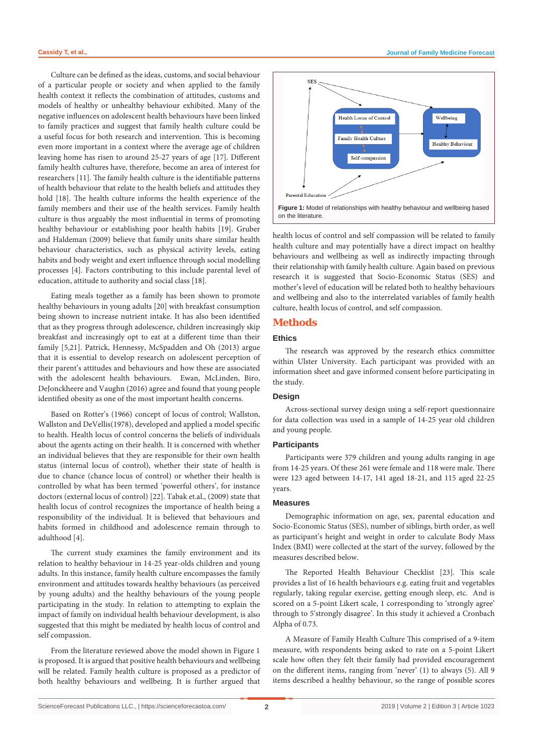Culture can be defined as the ideas, customs, and social behaviour of a particular people or society and when applied to the family health context it reflects the combination of attitudes, customs and models of healthy or unhealthy behaviour exhibited. Many of the negative influences on adolescent health behaviours have been linked to family practices and suggest that family health culture could be a useful focus for both research and intervention. This is becoming even more important in a context where the average age of children leaving home has risen to around 25-27 years of age [17]. Different family health cultures have, therefore, become an area of interest for researchers [11]. The family health culture is the identifiable patterns of health behaviour that relate to the health beliefs and attitudes they hold [18]. The health culture informs the health experience of the family members and their use of the health services. Family health culture is thus arguably the most influential in terms of promoting healthy behaviour or establishing poor health habits [19]. Gruber and Haldeman (2009) believe that family units share similar health behaviour characteristics, such as physical activity levels, eating habits and body weight and exert influence through social modelling processes [4]. Factors contributing to this include parental level of education, attitude to authority and social class [18].

Eating meals together as a family has been shown to promote healthy behaviours in young adults [20] with breakfast consumption being shown to increase nutrient intake. It has also been identified that as they progress through adolescence, children increasingly skip breakfast and increasingly opt to eat at a different time than their family [5,21]. Patrick, Hennessy, McSpadden and Oh (2013) argue that it is essential to develop research on adolescent perception of their parent's attitudes and behaviours and how these are associated with the adolescent health behaviours. Ewan, McLinden, Biro, DeJonckheere and Vaughn (2016) agree and found that young people identified obesity as one of the most important health concerns.

Based on Rotter's (1966) concept of locus of control; Wallston, Wallston and DeVellis(1978), developed and applied a model specific to health. Health locus of control concerns the beliefs of individuals about the agents acting on their health. It is concerned with whether an individual believes that they are responsible for their own health status (internal locus of control), whether their state of health is due to chance (chance locus of control) or whether their health is controlled by what has been termed 'powerful others', for instance doctors (external locus of control) [22]. Tabak et.al., (2009) state that health locus of control recognizes the importance of health being a responsibility of the individual. It is believed that behaviours and habits formed in childhood and adolescence remain through to adulthood [4].

The current study examines the family environment and its relation to healthy behaviour in 14-25 year-olds children and young adults. In this instance, family health culture encompasses the family environment and attitudes towards healthy behaviours (as perceived by young adults) and the healthy behaviours of the young people participating in the study. In relation to attempting to explain the impact of family on individual health behaviour development, is also suggested that this might be mediated by health locus of control and self compassion.

From the literature reviewed above the model shown in Figure 1 is proposed. It is argued that positive health behaviours and wellbeing will be related. Family health culture is proposed as a predictor of both healthy behaviours and wellbeing. It is further argued that



health locus of control and self compassion will be related to family health culture and may potentially have a direct impact on healthy behaviours and wellbeing as well as indirectly impacting through their relationship with family health culture. Again based on previous research it is suggested that Socio-Economic Status (SES) and mother's level of education will be related both to healthy behaviours and wellbeing and also to the interrelated variables of family health culture, health locus of control, and self compassion.

#### **Methods**

## **Ethics**

The research was approved by the research ethics committee within Ulster University. Each participant was provided with an information sheet and gave informed consent before participating in the study.

## **Design**

Across-sectional survey design using a self-report questionnaire for data collection was used in a sample of 14-25 year old children and young people.

## **Participants**

Participants were 379 children and young adults ranging in age from 14-25 years. Of these 261 were female and 118 were male. There were 123 aged between 14-17, 141 aged 18-21, and 115 aged 22-25 years.

#### **Measures**

Demographic information on age, sex, parental education and Socio-Economic Status (SES), number of siblings, birth order, as well as participant's height and weight in order to calculate Body Mass Index (BMI) were collected at the start of the survey, followed by the measures described below.

The Reported Health Behaviour Checklist [23]. This scale provides a list of 16 health behaviours e.g. eating fruit and vegetables regularly, taking regular exercise, getting enough sleep, etc. And is scored on a 5-point Likert scale, 1 corresponding to 'strongly agree' through to 5'strongly disagree'. In this study it achieved a Cronbach Alpha of 0.73.

A Measure of Family Health Culture This comprised of a 9-item measure, with respondents being asked to rate on a 5-point Likert scale how often they felt their family had provided encouragement on the different items, ranging from 'never' (1) to always (5). All 9 items described a healthy behaviour, so the range of possible scores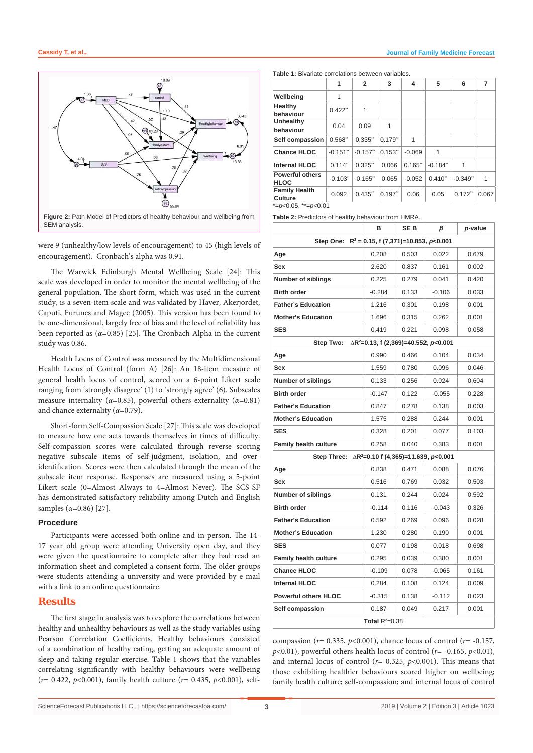

were 9 (unhealthy/low levels of encouragement) to 45 (high levels of encouragement). Cronbach's alpha was 0.91.

The Warwick Edinburgh Mental Wellbeing Scale [24]: This scale was developed in order to monitor the mental wellbeing of the general population. The short-form, which was used in the current study, is a seven-item scale and was validated by Haver, Akerjordet, Caputi, Furunes and Magee (2005). This version has been found to be one-dimensional, largely free of bias and the level of reliability has been reported as  $(\alpha=0.85)$  [25]. The Cronbach Alpha in the current study was 0.86.

Health Locus of Control was measured by the Multidimensional Health Locus of Control (form A) [26]: An 18-item measure of general health locus of control, scored on a 6-point Likert scale ranging from 'strongly disagree' (1) to 'strongly agree' (6). Subscales measure internality ( $\alpha$ =0.85), powerful others externality ( $\alpha$ =0.81) and chance externality (*α*=0.79).

Short-form Self-Compassion Scale [27]: This scale was developed to measure how one acts towards themselves in times of difficulty. Self-compassion scores were calculated through reverse scoring negative subscale items of self-judgment, isolation, and overidentification. Scores were then calculated through the mean of the subscale item response. Responses are measured using a 5-point Likert scale (0=Almost Always to 4=Almost Never). The SCS-SF has demonstrated satisfactory reliability among Dutch and English samples (*α*=0.86) [27].

## **Procedure**

Participants were accessed both online and in person. The 14- 17 year old group were attending University open day, and they were given the questionnaire to complete after they had read an information sheet and completed a consent form. The older groups were students attending a university and were provided by e-mail with a link to an online questionnaire.

## **Results**

The first stage in analysis was to explore the correlations between healthy and unhealthy behaviours as well as the study variables using Pearson Correlation Coefficients. Healthy behaviours consisted of a combination of healthy eating, getting an adequate amount of sleep and taking regular exercise. Table 1 shows that the variables correlating significantly with healthy behaviours were wellbeing (*r*= 0.422, *p*<0.001), family health culture (*r*= 0.435, *p*<0.001), self**Table 1:** Bivariate correlations between variables.

|                                       | 1                      | $\overline{2}$ | 3         | 4        | 5                      | 6         | 7     |
|---------------------------------------|------------------------|----------------|-----------|----------|------------------------|-----------|-------|
| Wellbeing                             | 1                      |                |           |          |                        |           |       |
| Healthy<br>behaviour                  | 0.422                  | 1              |           |          |                        |           |       |
| Unhealthy<br>behaviour                | 0.04                   | 0.09           | 1         |          |                        |           |       |
| Self compassion                       | 0.568"                 | 0.335"         | $0.179$ " | 1        |                        |           |       |
| <b>Chance HLOC</b>                    | $-0.151$ <sup>**</sup> | $-0.157$ "     | 0.153"    | $-0.069$ | 1                      |           |       |
| <b>Internal HLOC</b>                  | $0.114$ <sup>*</sup>   | $0.325$ "      | 0.066     | 0.165"   | $-0.184$ <sup>**</sup> | 1         |       |
| <b>Powerful others</b><br><b>HLOC</b> | $-0.103$ <sup>*</sup>  | $-0.165$ "     | 0.065     | $-0.052$ | $0.410$ "              | $-0.349$  | 1     |
| <b>Family Health</b><br>Culture       | 0.092                  | $0.435$ "      | $0.197$ " | 0.06     | 0.05                   | $0.172$ " | 0.067 |
| *= $p<0.05$ . **= $p<0.01$            |                        |                |           |          |                        |           |       |

**Table 2:** Predictors of healthy behaviour from HMRA.

|                                                                          | в        | SE B  | β        | p-value |  |  |  |  |  |  |
|--------------------------------------------------------------------------|----------|-------|----------|---------|--|--|--|--|--|--|
| Step One: $R^2 = 0.15$ , f (7,371)=10.853, p<0.001                       |          |       |          |         |  |  |  |  |  |  |
| Age                                                                      | 0.208    | 0.503 | 0.022    | 0.679   |  |  |  |  |  |  |
| Sex                                                                      | 2.620    | 0.837 | 0.161    | 0.002   |  |  |  |  |  |  |
| <b>Number of siblings</b>                                                | 0.225    | 0.279 | 0.041    | 0.420   |  |  |  |  |  |  |
| <b>Birth order</b>                                                       | $-0.284$ | 0.133 | $-0.106$ | 0.033   |  |  |  |  |  |  |
| <b>Father's Education</b>                                                | 1.216    | 0.301 | 0.198    | 0.001   |  |  |  |  |  |  |
| <b>Mother's Education</b>                                                | 1.696    | 0.315 | 0.262    | 0.001   |  |  |  |  |  |  |
| <b>SES</b>                                                               | 0.419    | 0.221 | 0.098    | 0.058   |  |  |  |  |  |  |
| Step Two:<br>$\triangle$ R <sup>2</sup> =0.13, f (2,369)=40.552, p<0.001 |          |       |          |         |  |  |  |  |  |  |
| Age                                                                      | 0.990    | 0.466 | 0.104    | 0.034   |  |  |  |  |  |  |
| Sex                                                                      | 1.559    | 0.780 | 0.096    | 0.046   |  |  |  |  |  |  |
| <b>Number of siblings</b>                                                | 0.133    | 0.256 | 0.024    | 0.604   |  |  |  |  |  |  |
| <b>Birth order</b>                                                       | $-0.147$ | 0.122 | $-0.055$ | 0.228   |  |  |  |  |  |  |
| <b>Father's Education</b>                                                | 0.847    | 0.278 | 0.138    | 0.003   |  |  |  |  |  |  |
| <b>Mother's Education</b>                                                | 1.575    | 0.288 | 0.244    | 0.001   |  |  |  |  |  |  |
| <b>SES</b>                                                               | 0.328    | 0.201 | 0.077    | 0.103   |  |  |  |  |  |  |
| <b>Family health culture</b>                                             | 0.258    | 0.040 | 0.383    | 0.001   |  |  |  |  |  |  |
| Step Three: $\triangle R^2 = 0.10$ f (4,365)=11.639, p<0.001             |          |       |          |         |  |  |  |  |  |  |
| Age                                                                      | 0.838    | 0.471 | 0.088    | 0.076   |  |  |  |  |  |  |
| Sex                                                                      | 0.516    | 0.769 | 0.032    | 0.503   |  |  |  |  |  |  |
| <b>Number of siblings</b>                                                | 0.131    | 0.244 | 0.024    | 0.592   |  |  |  |  |  |  |
| <b>Birth order</b>                                                       | $-0.114$ | 0.116 | $-0.043$ | 0.326   |  |  |  |  |  |  |
| <b>Father's Education</b>                                                | 0.592    | 0.269 | 0.096    | 0.028   |  |  |  |  |  |  |
| <b>Mother's Education</b>                                                | 1.230    | 0.280 | 0.190    | 0.001   |  |  |  |  |  |  |
| <b>SES</b>                                                               | 0.077    | 0.198 | 0.018    | 0.698   |  |  |  |  |  |  |
| <b>Family health culture</b>                                             | 0.295    | 0.039 | 0.380    | 0.001   |  |  |  |  |  |  |
| <b>Chance HLOC</b>                                                       | $-0.109$ | 0.078 | $-0.065$ | 0.161   |  |  |  |  |  |  |
| <b>Internal HLOC</b>                                                     | 0.284    | 0.108 | 0.124    | 0.009   |  |  |  |  |  |  |
| <b>Powerful others HLOC</b>                                              | $-0.315$ | 0.138 | $-0.112$ | 0.023   |  |  |  |  |  |  |
| Self compassion                                                          | 0.187    | 0.049 | 0.217    | 0.001   |  |  |  |  |  |  |
| Total $R^2=0.38$                                                         |          |       |          |         |  |  |  |  |  |  |

compassion ( $r= 0.335$ ,  $p<0.001$ ), chance locus of control ( $r=-0.157$ ,  $p$ <0.01), powerful others health locus of control ( $r$ = -0.165,  $p$ <0.01), and internal locus of control ( $r=$  0.325,  $p$ <0.001). This means that those exhibiting healthier behaviours scored higher on wellbeing; family health culture; self-compassion; and internal locus of control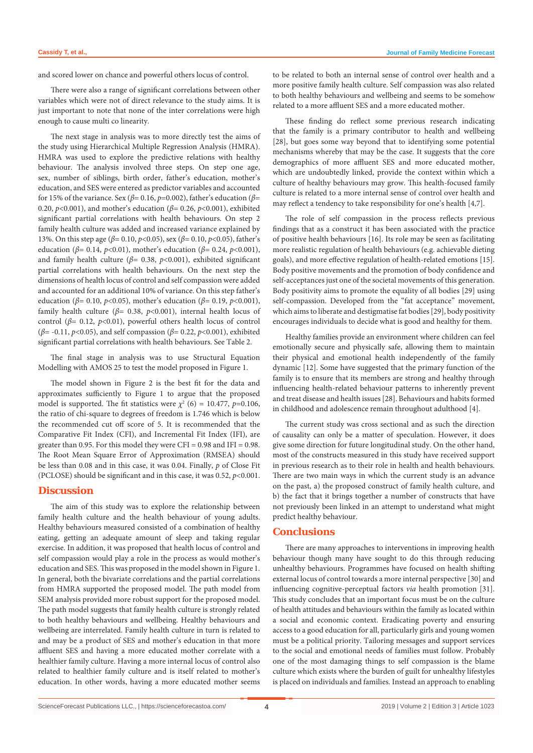and scored lower on chance and powerful others locus of control.

There were also a range of significant correlations between other variables which were not of direct relevance to the study aims. It is just important to note that none of the inter correlations were high enough to cause multi co linearity.

The next stage in analysis was to more directly test the aims of the study using Hierarchical Multiple Regression Analysis (HMRA). HMRA was used to explore the predictive relations with healthy behaviour. The analysis involved three steps. On step one age, sex, number of siblings, birth order, father's education, mother's education, and SES were entered as predictor variables and accounted for 15% of the variance. Sex (*β*= 0.16, *p*=0.002), father's education (*β*= 0.20, *p*<0.001), and mother's education (*β*= 0.26, *p*<0.001), exhibited significant partial correlations with health behaviours. On step 2 family health culture was added and increased variance explained by 13%. On this step age (*β*= 0.10, *p*<0.05), sex (*β*= 0.10, *p*<0.05), father's education (*β*= 0.14, *p*<0.01), mother's education (*β*= 0.24, *p*<0.001), and family health culture (*β*= 0.38, *p*<0.001), exhibited significant partial correlations with health behaviours. On the next step the dimensions of health locus of control and self compassion were added and accounted for an additional 10% of variance. On this step father's education ( $\beta$ = 0.10, *p*<0.05), mother's education ( $\beta$ = 0.19, *p*<0.001), family health culture ( $\beta$ = 0.38,  $p$ <0.001), internal health locus of control (*β*= 0.12, *p*<0.01), powerful others health locus of control (*β*= -0.11, *p*<0.05), and self compassion (*β*= 0.22, *p*<0.001), exhibited significant partial correlations with health behaviours. See Table 2.

The final stage in analysis was to use Structural Equation Modelling with AMOS 25 to test the model proposed in Figure 1.

The model shown in Figure 2 is the best fit for the data and approximates sufficiently to Figure 1 to argue that the proposed model is supported. The fit statistics were  $\chi^2$  (6) = 10.477, p=0.106, the ratio of chi-square to degrees of freedom is 1.746 which is below the recommended cut off score of 5. It is recommended that the Comparative Fit Index (CFI), and Incremental Fit Index (IFI), are greater than 0.95. For this model they were CFI = 0.98 and IFI = 0.98. The Root Mean Square Error of Approximation (RMSEA) should be less than 0.08 and in this case, it was 0.04. Finally, *p* of Close Fit (PCLOSE) should be significant and in this case, it was 0.52, *p*<0.001.

#### **Discussion**

The aim of this study was to explore the relationship between family health culture and the health behaviour of young adults. Healthy behaviours measured consisted of a combination of healthy eating, getting an adequate amount of sleep and taking regular exercise. In addition, it was proposed that health locus of control and self compassion would play a role in the process as would mother's education and SES. This was proposed in the model shown in Figure 1. In general, both the bivariate correlations and the partial correlations from HMRA supported the proposed model. The path model from SEM analysis provided more robust support for the proposed model. The path model suggests that family health culture is strongly related to both healthy behaviours and wellbeing. Healthy behaviours and wellbeing are interrelated. Family health culture in turn is related to and may be a product of SES and mother's education in that more affluent SES and having a more educated mother correlate with a healthier family culture. Having a more internal locus of control also related to healthier family culture and is itself related to mother's education. In other words, having a more educated mother seems to be related to both an internal sense of control over health and a more positive family health culture. Self compassion was also related to both healthy behaviours and wellbeing and seems to be somehow related to a more affluent SES and a more educated mother.

These finding do reflect some previous research indicating that the family is a primary contributor to health and wellbeing [28], but goes some way beyond that to identifying some potential mechanisms whereby that may be the case. It suggests that the core demographics of more affluent SES and more educated mother, which are undoubtedly linked, provide the context within which a culture of healthy behaviours may grow. This health-focused family culture is related to a more internal sense of control over health and may reflect a tendency to take responsibility for one's health [4,7].

The role of self compassion in the process reflects previous findings that as a construct it has been associated with the practice of positive health behaviours [16]. Its role may be seen as facilitating more realistic regulation of health behaviours (e.g. achievable dieting goals), and more effective regulation of health-related emotions [15]. Body positive movements and the promotion of body confidence and self-acceptances just one of the societal movements of this generation. Body positivity aims to promote the equality of all bodies [29] using self-compassion. Developed from the "fat acceptance" movement, which aims to liberate and destigmatise fat bodies [29], body positivity encourages individuals to decide what is good and healthy for them.

Healthy families provide an environment where children can feel emotionally secure and physically safe, allowing them to maintain their physical and emotional health independently of the family dynamic [12]. Some have suggested that the primary function of the family is to ensure that its members are strong and healthy through influencing health-related behaviour patterns to inherently prevent and treat disease and health issues [28]. Behaviours and habits formed in childhood and adolescence remain throughout adulthood [4].

The current study was cross sectional and as such the direction of causality can only be a matter of speculation. However, it does give some direction for future longitudinal study. On the other hand, most of the constructs measured in this study have received support in previous research as to their role in health and health behaviours. There are two main ways in which the current study is an advance on the past, a) the proposed construct of family health culture, and b) the fact that it brings together a number of constructs that have not previously been linked in an attempt to understand what might predict healthy behaviour.

## **Conclusions**

There are many approaches to interventions in improving health behaviour though many have sought to do this through reducing unhealthy behaviours. Programmes have focused on health shifting external locus of control towards a more internal perspective [30] and influencing cognitive-perceptual factors *via* health promotion [31]. This study concludes that an important focus must be on the culture of health attitudes and behaviours within the family as located within a social and economic context. Eradicating poverty and ensuring access to a good education for all, particularly girls and young women must be a political priority. Tailoring messages and support services to the social and emotional needs of families must follow. Probably one of the most damaging things to self compassion is the blame culture which exists where the burden of guilt for unhealthy lifestyles is placed on individuals and families. Instead an approach to enabling